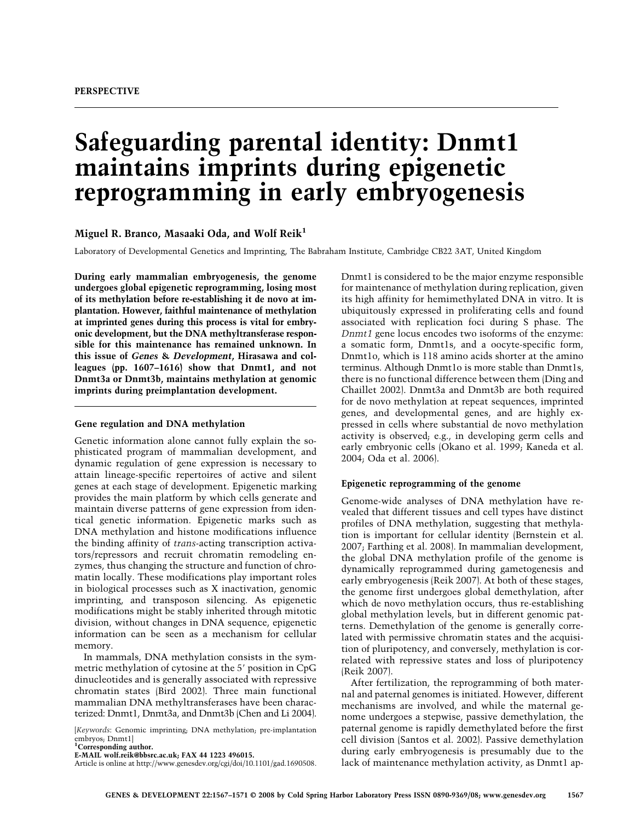# **Safeguarding parental identity: Dnmt1 maintains imprints during epigenetic reprogramming in early embryogenesis**

**Miguel R. Branco, Masaaki Oda, and Wolf Reik1**

Laboratory of Developmental Genetics and Imprinting, The Babraham Institute, Cambridge CB22 3AT, United Kingdom

**During early mammalian embryogenesis, the genome undergoes global epigenetic reprogramming, losing most of its methylation before re-establishing it de novo at implantation. However, faithful maintenance of methylation at imprinted genes during this process is vital for embryonic development, but the DNA methyltransferase responsible for this maintenance has remained unknown. In this issue of** *Genes* **&** *Development***, Hirasawa and colleagues (pp. 1607–1616) show that Dnmt1, and not Dnmt3a or Dnmt3b, maintains methylation at genomic imprints during preimplantation development.**

#### **Gene regulation and DNA methylation**

Genetic information alone cannot fully explain the sophisticated program of mammalian development, and dynamic regulation of gene expression is necessary to attain lineage-specific repertoires of active and silent genes at each stage of development. Epigenetic marking provides the main platform by which cells generate and maintain diverse patterns of gene expression from identical genetic information. Epigenetic marks such as DNA methylation and histone modifications influence the binding affinity of *trans*-acting transcription activators/repressors and recruit chromatin remodeling enzymes, thus changing the structure and function of chromatin locally. These modifications play important roles in biological processes such as X inactivation, genomic imprinting, and transposon silencing. As epigenetic modifications might be stably inherited through mitotic division, without changes in DNA sequence, epigenetic information can be seen as a mechanism for cellular memory.

In mammals, DNA methylation consists in the symmetric methylation of cytosine at the 5' position in CpG dinucleotides and is generally associated with repressive chromatin states (Bird 2002). Three main functional mammalian DNA methyltransferases have been characterized: Dnmt1, Dnmt3a, and Dnmt3b (Chen and Li 2004).

[*Keywords*: Genomic imprinting; DNA methylation; pre-implantation embryos; Dnmt1]

**1 Corresponding author. E-MAIL wolf.reik@bbsrc.ac.uk; FAX 44 1223 496015.**

Article is online at http://www.genesdev.org/cgi/doi/10.1101/gad.1690508.

Dnmt1 is considered to be the major enzyme responsible for maintenance of methylation during replication, given its high affinity for hemimethylated DNA in vitro. It is ubiquitously expressed in proliferating cells and found associated with replication foci during S phase. The *Dnmt1* gene locus encodes two isoforms of the enzyme: a somatic form, Dnmt1s, and a oocyte-specific form, Dnmt1o, which is 118 amino acids shorter at the amino terminus. Although Dnmt1o is more stable than Dnmt1s, there is no functional difference between them (Ding and Chaillet 2002). Dnmt3a and Dnmt3b are both required for de novo methylation at repeat sequences, imprinted genes, and developmental genes, and are highly expressed in cells where substantial de novo methylation activity is observed; e.g., in developing germ cells and early embryonic cells (Okano et al. 1999; Kaneda et al. 2004; Oda et al. 2006).

# **Epigenetic reprogramming of the genome**

Genome-wide analyses of DNA methylation have revealed that different tissues and cell types have distinct profiles of DNA methylation, suggesting that methylation is important for cellular identity (Bernstein et al. 2007; Farthing et al. 2008). In mammalian development, the global DNA methylation profile of the genome is dynamically reprogrammed during gametogenesis and early embryogenesis (Reik 2007). At both of these stages, the genome first undergoes global demethylation, after which de novo methylation occurs, thus re-establishing global methylation levels, but in different genomic patterns. Demethylation of the genome is generally correlated with permissive chromatin states and the acquisition of pluripotency, and conversely, methylation is correlated with repressive states and loss of pluripotency (Reik 2007).

After fertilization, the reprogramming of both maternal and paternal genomes is initiated. However, different mechanisms are involved, and while the maternal genome undergoes a stepwise, passive demethylation, the paternal genome is rapidly demethylated before the first cell division (Santos et al. 2002). Passive demethylation during early embryogenesis is presumably due to the lack of maintenance methylation activity, as Dnmt1 ap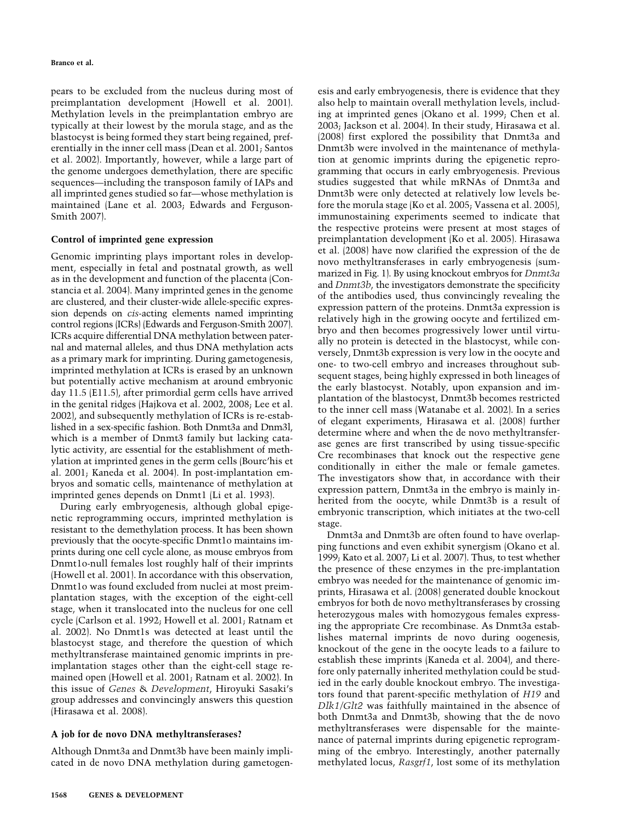pears to be excluded from the nucleus during most of preimplantation development (Howell et al. 2001). Methylation levels in the preimplantation embryo are typically at their lowest by the morula stage, and as the blastocyst is being formed they start being regained, preferentially in the inner cell mass (Dean et al. 2001; Santos et al. 2002). Importantly, however, while a large part of the genome undergoes demethylation, there are specific sequences—including the transposon family of IAPs and all imprinted genes studied so far—whose methylation is maintained (Lane et al. 2003; Edwards and Ferguson-Smith 2007).

#### **Control of imprinted gene expression**

Genomic imprinting plays important roles in development, especially in fetal and postnatal growth, as well as in the development and function of the placenta (Constancia et al. 2004). Many imprinted genes in the genome are clustered, and their cluster-wide allele-specific expression depends on *cis*-acting elements named imprinting control regions (ICRs) (Edwards and Ferguson-Smith 2007). ICRs acquire differential DNA methylation between paternal and maternal alleles, and thus DNA methylation acts as a primary mark for imprinting. During gametogenesis, imprinted methylation at ICRs is erased by an unknown but potentially active mechanism at around embryonic day 11.5 (E11.5), after primordial germ cells have arrived in the genital ridges (Hajkova et al. 2002, 2008; Lee et al. 2002), and subsequently methylation of ICRs is re-established in a sex-specific fashion. Both Dnmt3a and Dnm3l, which is a member of Dnmt3 family but lacking catalytic activity, are essential for the establishment of methylation at imprinted genes in the germ cells (Bourc'his et al. 2001; Kaneda et al. 2004). In post-implantation embryos and somatic cells, maintenance of methylation at imprinted genes depends on Dnmt1 (Li et al. 1993).

During early embryogenesis, although global epigenetic reprogramming occurs, imprinted methylation is resistant to the demethylation process. It has been shown previously that the oocyte-specific Dnmt1o maintains imprints during one cell cycle alone, as mouse embryos from Dnmt1o-null females lost roughly half of their imprints (Howell et al. 2001). In accordance with this observation, Dnmt1o was found excluded from nuclei at most preimplantation stages, with the exception of the eight-cell stage, when it translocated into the nucleus for one cell cycle (Carlson et al. 1992; Howell et al. 2001; Ratnam et al. 2002). No Dnmt1s was detected at least until the blastocyst stage, and therefore the question of which methyltransferase maintained genomic imprints in preimplantation stages other than the eight-cell stage remained open (Howell et al. 2001; Ratnam et al. 2002). In this issue of *Genes* & *Development*, Hiroyuki Sasaki's group addresses and convincingly answers this question (Hirasawa et al. 2008).

## **A job for de novo DNA methyltransferases?**

Although Dnmt3a and Dnmt3b have been mainly implicated in de novo DNA methylation during gametogen(2008) first explored the possibility that Dnmt3a and Dnmt3b were involved in the maintenance of methylation at genomic imprints during the epigenetic reprogramming that occurs in early embryogenesis. Previous studies suggested that while mRNAs of Dnmt3a and Dnmt3b were only detected at relatively low levels before the morula stage (Ko et al. 2005; Vassena et al. 2005), immunostaining experiments seemed to indicate that the respective proteins were present at most stages of preimplantation development (Ko et al. 2005). Hirasawa et al. (2008) have now clarified the expression of the de novo methyltransferases in early embryogenesis (summarized in Fig. 1). By using knockout embryos for *Dnmt3a* and *Dnmt3b*, the investigators demonstrate the specificity of the antibodies used, thus convincingly revealing the expression pattern of the proteins. Dnmt3a expression is relatively high in the growing oocyte and fertilized embryo and then becomes progressively lower until virtually no protein is detected in the blastocyst, while conversely, Dnmt3b expression is very low in the oocyte and one- to two-cell embryo and increases throughout subsequent stages, being highly expressed in both lineages of the early blastocyst. Notably, upon expansion and implantation of the blastocyst, Dnmt3b becomes restricted to the inner cell mass (Watanabe et al. 2002). In a series of elegant experiments, Hirasawa et al. (2008) further determine where and when the de novo methyltransferase genes are first transcribed by using tissue-specific Cre recombinases that knock out the respective gene conditionally in either the male or female gametes. The investigators show that, in accordance with their expression pattern, Dnmt3a in the embryo is mainly inherited from the oocyte, while Dnmt3b is a result of embryonic transcription, which initiates at the two-cell stage. Dnmt3a and Dnmt3b are often found to have overlapping functions and even exhibit synergism (Okano et al.

esis and early embryogenesis, there is evidence that they also help to maintain overall methylation levels, including at imprinted genes (Okano et al. 1999; Chen et al. 2003; Jackson et al. 2004). In their study, Hirasawa et al.

1999; Kato et al. 2007; Li et al. 2007). Thus, to test whether the presence of these enzymes in the pre-implantation embryo was needed for the maintenance of genomic imprints, Hirasawa et al. (2008) generated double knockout embryos for both de novo methyltransferases by crossing heterozygous males with homozygous females expressing the appropriate Cre recombinase. As Dnmt3a establishes maternal imprints de novo during oogenesis, knockout of the gene in the oocyte leads to a failure to establish these imprints (Kaneda et al. 2004), and therefore only paternally inherited methylation could be studied in the early double knockout embryo. The investigators found that parent-specific methylation of *H19* and *Dlk1/Glt2* was faithfully maintained in the absence of both Dnmt3a and Dnmt3b, showing that the de novo methyltransferases were dispensable for the maintenance of paternal imprints during epigenetic reprogramming of the embryo. Interestingly, another paternally methylated locus, *Rasgrf1*, lost some of its methylation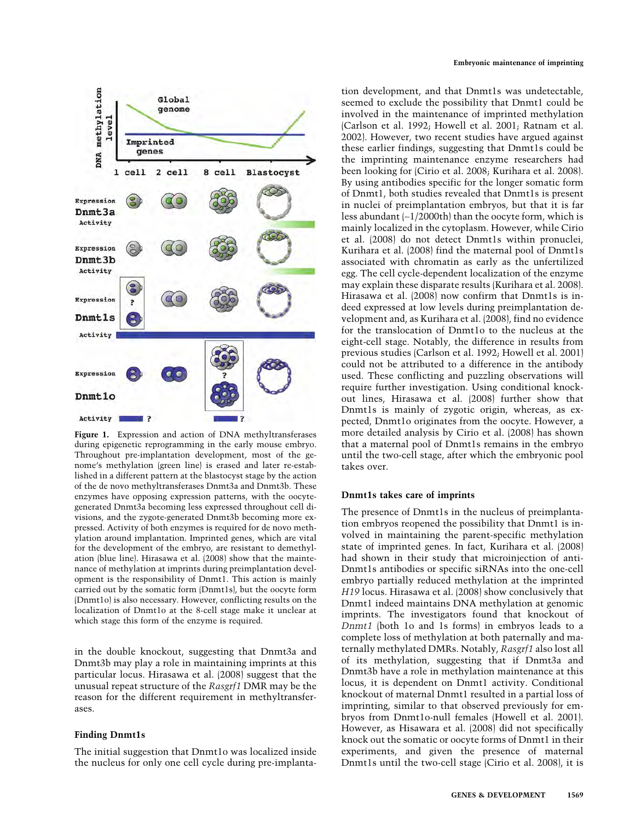

**Figure 1.** Expression and action of DNA methyltransferases during epigenetic reprogramming in the early mouse embryo. Throughout pre-implantation development, most of the genome's methylation (green line) is erased and later re-established in a different pattern at the blastocyst stage by the action of the de novo methyltransferases Dnmt3a and Dnmt3b. These enzymes have opposing expression patterns, with the oocytegenerated Dnmt3a becoming less expressed throughout cell divisions, and the zygote-generated Dnmt3b becoming more expressed. Activity of both enzymes is required for de novo methylation around implantation. Imprinted genes, which are vital for the development of the embryo, are resistant to demethylation (blue line). Hirasawa et al. (2008) show that the maintenance of methylation at imprints during preimplantation development is the responsibility of Dnmt1. This action is mainly carried out by the somatic form (Dnmt1s), but the oocyte form (Dnmt1o) is also necessary. However, conflicting results on the localization of Dnmt1o at the 8-cell stage make it unclear at which stage this form of the enzyme is required.

in the double knockout, suggesting that Dnmt3a and Dnmt3b may play a role in maintaining imprints at this particular locus. Hirasawa et al. (2008) suggest that the unusual repeat structure of the *Rasgrf1* DMR may be the reason for the different requirement in methyltransferases.

## **Finding Dnmt1s**

The initial suggestion that Dnmt1o was localized inside the nucleus for only one cell cycle during pre-implantation development, and that Dnmt1s was undetectable, seemed to exclude the possibility that Dnmt1 could be involved in the maintenance of imprinted methylation (Carlson et al. 1992; Howell et al. 2001; Ratnam et al. 2002). However, two recent studies have argued against these earlier findings, suggesting that Dnmt1s could be the imprinting maintenance enzyme researchers had been looking for (Cirio et al. 2008; Kurihara et al. 2008). By using antibodies specific for the longer somatic form of Dnmt1, both studies revealed that Dnmt1s is present in nuclei of preimplantation embryos, but that it is far less abundant (∼1/2000th) than the oocyte form, which is mainly localized in the cytoplasm. However, while Cirio et al. (2008) do not detect Dnmt1s within pronuclei, Kurihara et al. (2008) find the maternal pool of Dnmt1s associated with chromatin as early as the unfertilized egg. The cell cycle-dependent localization of the enzyme may explain these disparate results (Kurihara et al. 2008). Hirasawa et al. (2008) now confirm that Dnmt1s is indeed expressed at low levels during preimplantation development and, as Kurihara et al. (2008), find no evidence for the translocation of Dnmt1o to the nucleus at the eight-cell stage. Notably, the difference in results from previous studies (Carlson et al. 1992; Howell et al. 2001) could not be attributed to a difference in the antibody used. These conflicting and puzzling observations will require further investigation. Using conditional knockout lines, Hirasawa et al. (2008) further show that Dnmt1s is mainly of zygotic origin, whereas, as expected, Dnmt1o originates from the oocyte. However, a more detailed analysis by Cirio et al. (2008) has shown that a maternal pool of Dnmt1s remains in the embryo until the two-cell stage, after which the embryonic pool takes over.

# **Dnmt1s takes care of imprints**

The presence of Dnmt1s in the nucleus of preimplantation embryos reopened the possibility that Dnmt1 is involved in maintaining the parent-specific methylation state of imprinted genes. In fact, Kurihara et al. (2008) had shown in their study that microinjection of anti-Dnmt1s antibodies or specific siRNAs into the one-cell embryo partially reduced methylation at the imprinted *H19* locus. Hirasawa et al. (2008) show conclusively that Dnmt1 indeed maintains DNA methylation at genomic imprints. The investigators found that knockout of *Dnmt1* (both 1o and 1s forms) in embryos leads to a complete loss of methylation at both paternally and maternally methylated DMRs. Notably, *Rasgrf1* also lost all of its methylation, suggesting that if Dnmt3a and Dnmt3b have a role in methylation maintenance at this locus, it is dependent on Dnmt1 activity. Conditional knockout of maternal Dnmt1 resulted in a partial loss of imprinting, similar to that observed previously for embryos from Dnmt1o-null females (Howell et al. 2001). However, as Hisawara et al. (2008) did not specifically knock out the somatic or oocyte forms of Dnmt1 in their experiments, and given the presence of maternal Dnmt1s until the two-cell stage (Cirio et al. 2008), it is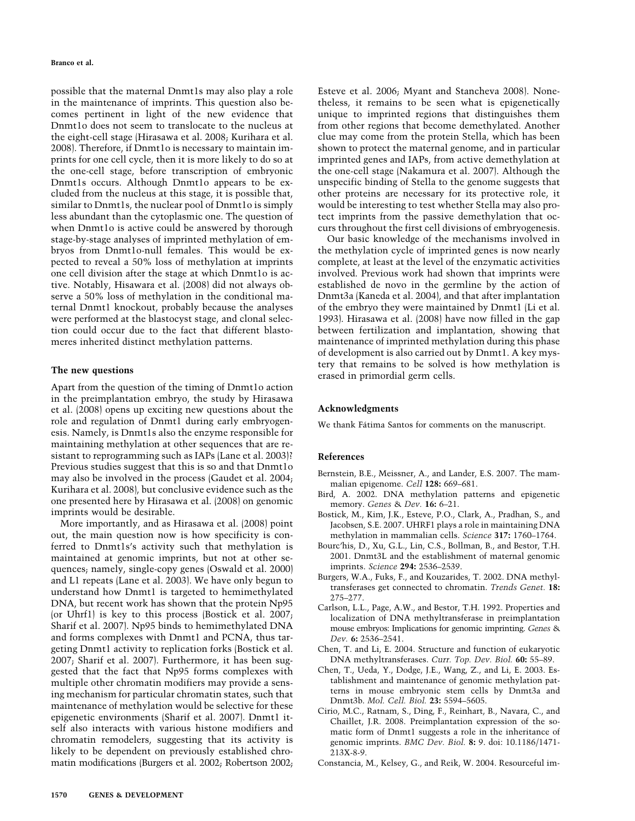possible that the maternal Dnmt1s may also play a role in the maintenance of imprints. This question also becomes pertinent in light of the new evidence that Dnmt1o does not seem to translocate to the nucleus at the eight-cell stage (Hirasawa et al. 2008; Kurihara et al. 2008). Therefore, if Dnmt1o is necessary to maintain imprints for one cell cycle, then it is more likely to do so at the one-cell stage, before transcription of embryonic Dnmt1s occurs. Although Dnmt1o appears to be excluded from the nucleus at this stage, it is possible that, similar to Dnmt1s, the nuclear pool of Dnmt1o is simply less abundant than the cytoplasmic one. The question of when Dnmt1o is active could be answered by thorough stage-by-stage analyses of imprinted methylation of embryos from Dnmt1o-null females. This would be expected to reveal a 50% loss of methylation at imprints one cell division after the stage at which Dnmt1o is active. Notably, Hisawara et al. (2008) did not always observe a 50% loss of methylation in the conditional maternal Dnmt1 knockout, probably because the analyses were performed at the blastocyst stage, and clonal selection could occur due to the fact that different blastomeres inherited distinct methylation patterns.

#### **The new questions**

Apart from the question of the timing of Dnmt1o action in the preimplantation embryo, the study by Hirasawa et al. (2008) opens up exciting new questions about the role and regulation of Dnmt1 during early embryogenesis. Namely, is Dnmt1s also the enzyme responsible for maintaining methylation at other sequences that are resistant to reprogramming such as IAPs (Lane et al. 2003)? Previous studies suggest that this is so and that Dnmt1o may also be involved in the process (Gaudet et al. 2004; Kurihara et al. 2008), but conclusive evidence such as the one presented here by Hirasawa et al. (2008) on genomic imprints would be desirable.

More importantly, and as Hirasawa et al. (2008) point out, the main question now is how specificity is conferred to Dnmt1s's activity such that methylation is maintained at genomic imprints, but not at other sequences; namely, single-copy genes (Oswald et al. 2000) and L1 repeats (Lane et al. 2003). We have only begun to understand how Dnmt1 is targeted to hemimethylated DNA, but recent work has shown that the protein Np95 (or Uhrf1) is key to this process (Bostick et al. 2007; Sharif et al. 2007). Np95 binds to hemimethylated DNA and forms complexes with Dnmt1 and PCNA, thus targeting Dnmt1 activity to replication forks (Bostick et al. 2007; Sharif et al. 2007). Furthermore, it has been suggested that the fact that Np95 forms complexes with multiple other chromatin modifiers may provide a sensing mechanism for particular chromatin states, such that maintenance of methylation would be selective for these epigenetic environments (Sharif et al. 2007). Dnmt1 itself also interacts with various histone modifiers and chromatin remodelers, suggesting that its activity is likely to be dependent on previously established chromatin modifications (Burgers et al. 2002; Robertson 2002; Esteve et al. 2006; Myant and Stancheva 2008). Nonetheless, it remains to be seen what is epigenetically unique to imprinted regions that distinguishes them from other regions that become demethylated. Another clue may come from the protein Stella, which has been shown to protect the maternal genome, and in particular imprinted genes and IAPs, from active demethylation at the one-cell stage (Nakamura et al. 2007). Although the unspecific binding of Stella to the genome suggests that other proteins are necessary for its protective role, it would be interesting to test whether Stella may also protect imprints from the passive demethylation that occurs throughout the first cell divisions of embryogenesis.

Our basic knowledge of the mechanisms involved in the methylation cycle of imprinted genes is now nearly complete, at least at the level of the enzymatic activities involved. Previous work had shown that imprints were established de novo in the germline by the action of Dnmt3a (Kaneda et al. 2004), and that after implantation of the embryo they were maintained by Dnmt1 (Li et al. 1993). Hirasawa et al. (2008) have now filled in the gap between fertilization and implantation, showing that maintenance of imprinted methylation during this phase of development is also carried out by Dnmt1. A key mystery that remains to be solved is how methylation is erased in primordial germ cells.

#### **Acknowledgments**

We thank Fátima Santos for comments on the manuscript.

#### **References**

- Bernstein, B.E., Meissner, A., and Lander, E.S. 2007. The mammalian epigenome. *Cell* **128:** 669–681.
- Bird, A. 2002. DNA methylation patterns and epigenetic memory. *Genes* & *Dev.* **16:** 6–21.
- Bostick, M., Kim, J.K., Esteve, P.O., Clark, A., Pradhan, S., and Jacobsen, S.E. 2007. UHRF1 plays a role in maintaining DNA methylation in mammalian cells. *Science* **317:** 1760–1764.
- Bourc'his, D., Xu, G.L., Lin, C.S., Bollman, B., and Bestor, T.H. 2001. Dnmt3L and the establishment of maternal genomic imprints. *Science* **294:** 2536–2539.
- Burgers, W.A., Fuks, F., and Kouzarides, T. 2002. DNA methyltransferases get connected to chromatin. *Trends Genet.* **18:** 275–277.
- Carlson, L.L., Page, A.W., and Bestor, T.H. 1992. Properties and localization of DNA methyltransferase in preimplantation mouse embryos: Implications for genomic imprinting. *Genes* & *Dev.* **6:** 2536–2541.
- Chen, T. and Li, E. 2004. Structure and function of eukaryotic DNA methyltransferases. *Curr. Top. Dev. Biol.* **60:** 55–89.
- Chen, T., Ueda, Y., Dodge, J.E., Wang, Z., and Li, E. 2003. Establishment and maintenance of genomic methylation patterns in mouse embryonic stem cells by Dnmt3a and Dnmt3b. *Mol. Cell. Biol.* **23:** 5594–5605.
- Cirio, M.C., Ratnam, S., Ding, F., Reinhart, B., Navara, C., and Chaillet, J.R. 2008. Preimplantation expression of the somatic form of Dnmt1 suggests a role in the inheritance of genomic imprints. *BMC Dev. Biol.* **8:** 9. doi: 10.1186/1471- 213X-8-9.

Constancia, M., Kelsey, G., and Reik, W. 2004. Resourceful im-